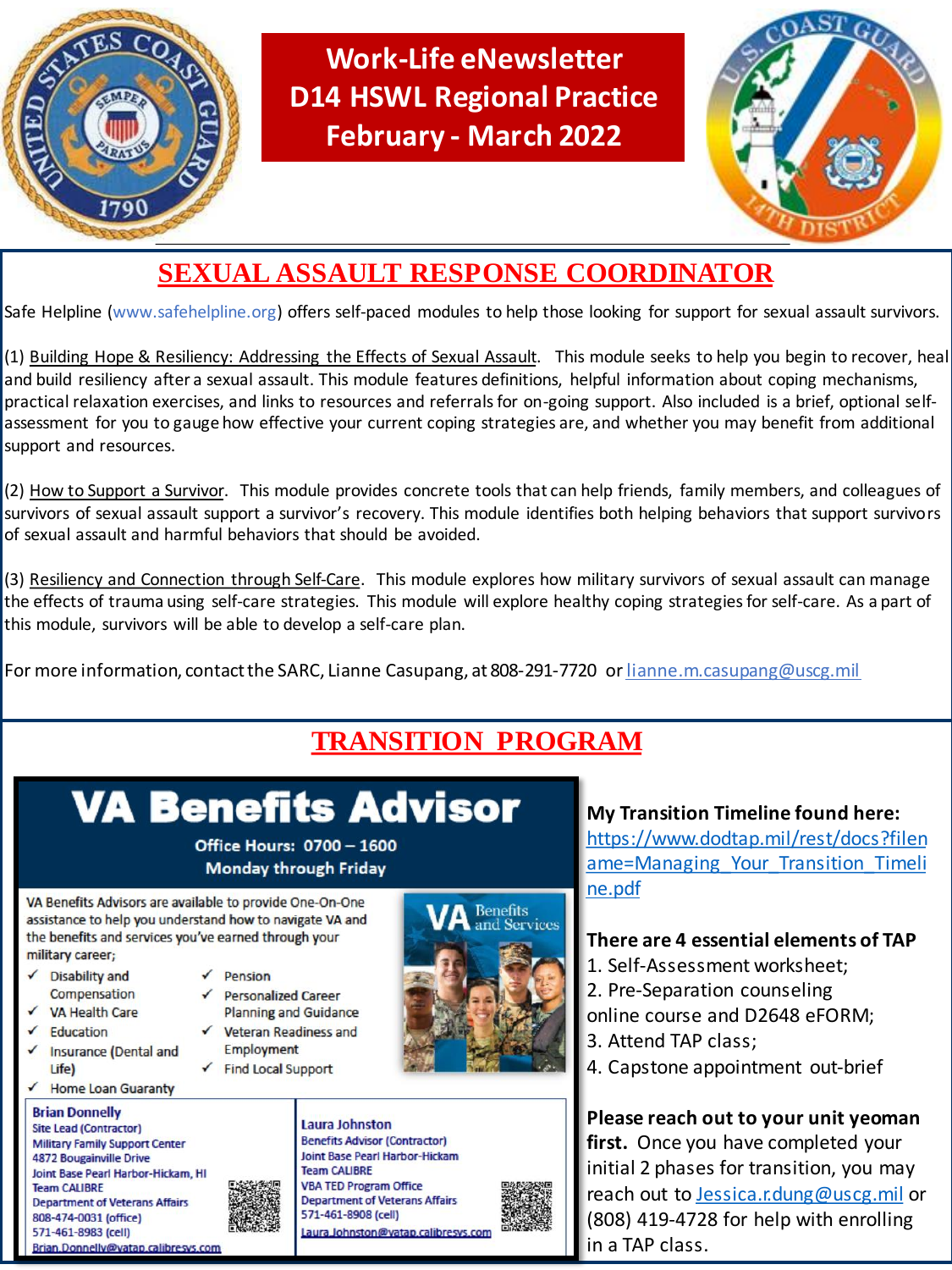

**Work-Life eNewsletter D14 HSWL Regional Practice February - March 2022**



## **SEXUAL ASSAULT RESPONSE COORDINATOR**

Safe Helpline (www.safehelpline.org) offers self-paced modules to help those looking for support for sexual assault survivors.

(1) Building Hope & Resiliency: Addressing the Effects of Sexual Assault. This module seeks to help you begin to recover, heal and build resiliency after a sexual assault. This module features definitions, helpful information about coping mechanisms, practical relaxation exercises, and links to resources and referrals for on-going support. Also included is a brief, optional selfassessment for you to gauge how effective your current coping strategies are, and whether you may benefit from additional support and resources.

(2) How to Support a Survivor. This module provides concrete tools that can help friends, family members, and colleagues of survivors of sexual assault support a survivor's recovery. This module identifies both helping behaviors that support survivors of sexual assault and harmful behaviors that should be avoided.

(3) Resiliency and Connection through Self-Care. This module explores how military survivors of sexual assault can manage the effects of trauma using self-care strategies. This module will explore healthy coping strategies for self-care. As a part of this module, survivors will be able to develop a self-care plan.

For more information, contact the SARC, Lianne Casupang, at 808-291-7720 or lianne.m.casupang@uscg.mil

## **TRANSITION PROGRAM**

# **VA Benefits Advisor**

**Office Hours: 0700 - 1600 Monday through Friday** 

VA Benefits Advisors are available to provide One-On-One assistance to help you understand how to navigate VA and the benefits and services you've earned through your military career;

- **Disability and** Compensation
- **VA Health Care**
- Education
- Insurance (Dental and Life)
- **Home Loan Guaranty**

**Brian Donnelly Site Lead (Contractor) Military Family Support Center 4872 Bougainville Drive** Joint Base Pearl Harbor-Hickam, HI **Team CALIBRE Department of Veterans Affairs** 808-474-0031 (office) 571-461-8983 (cell) Brian.Donnelly@vatap.calibresys.com

- $\sqrt{Pension}$ 
	- **Personalized Career Planning and Guidance**
	- Veteran Readiness and **Employment**
- ✔ Find Local Support



Laura Johnston **Benefits Advisor (Contractor) Joint Base Pearl Harbor-Hickam Team CALIBRE VBA TED Program Office Department of Veterans Affairs** 571-461-8908 (cell) Laura Johnston@vatap.calibresys.con

**My Transition Timeline found here:** [https://www.dodtap.mil/rest/docs?filen](https://www.dodtap.mil/rest/docs?filename=Managing_Your_Transition_Timeline.pdf) ame=Managing Your Transition Timeli ne.pdf

#### **There are 4 essential elements of TAP**

- 1. Self-Assessment worksheet;
- 2. Pre-Separation counseling
- online course and D2648 eFORM;
- 3. Attend TAP class;
- 4. Capstone appointment out-brief

**Please reach out to your unit yeoman first.** Once you have completed your initial 2 phases for transition, you may reach out to [Jessica.r.dung@uscg.mil](mailto:Jessica.r.dung@uscg.mil) or (808) 419-4728 for help with enrolling in a TAP class.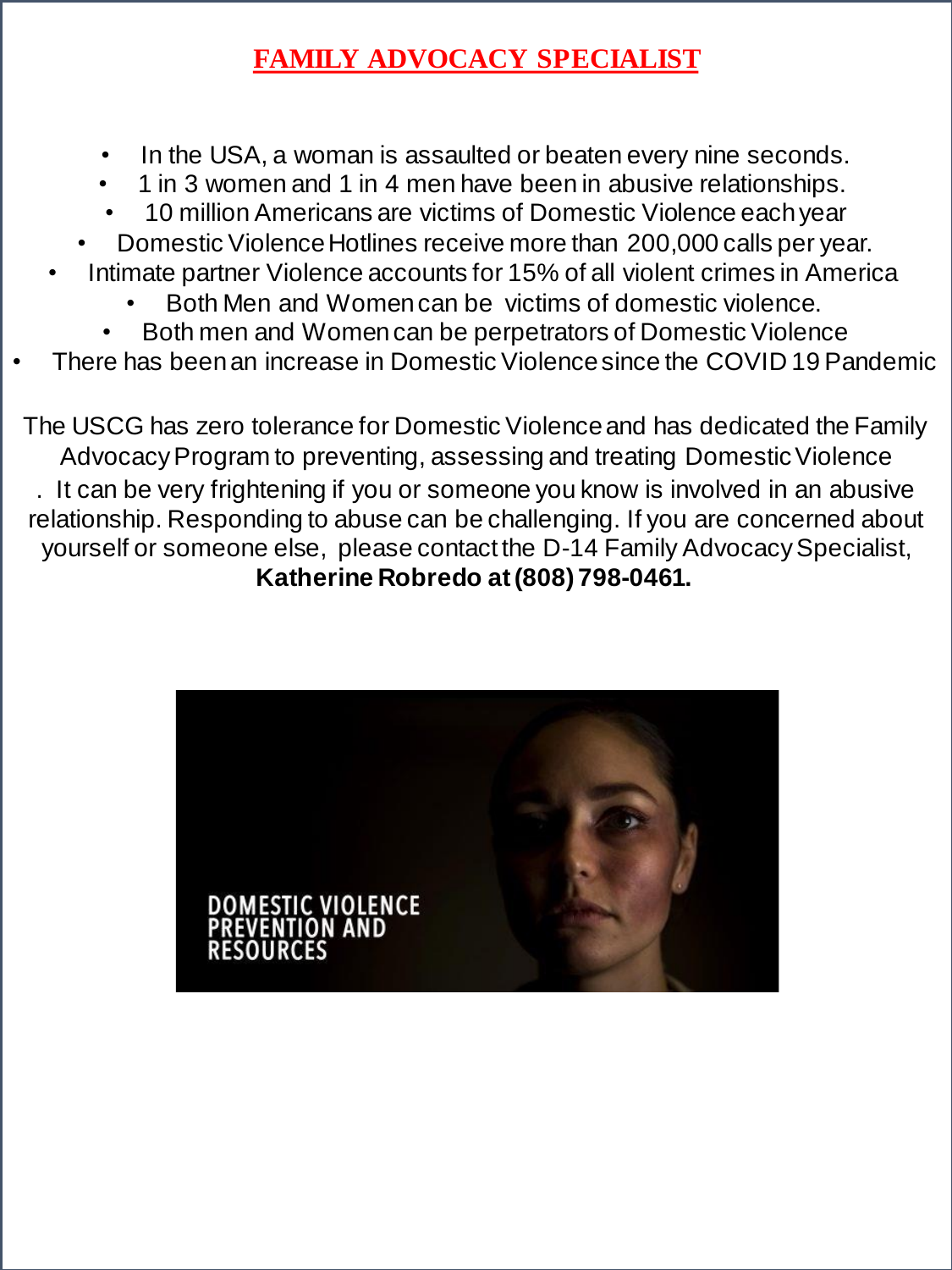## **FAMILY ADVOCACY SPECIALIST**

- In the USA, a woman is assaulted or beaten every nine seconds.
- 1 in 3 women and 1 in 4 men have been in abusive relationships.
- 10 million Americans are victims of Domestic Violence each year
- Domestic Violence Hotlines receive more than 200,000 calls per year.
- Intimate partner Violence accounts for 15% of all violent crimes in America
	- Both Men and Women can be victims of domestic violence.
	- Both men and Women can be perpetrators of Domestic Violence
- There has been an increase in Domestic Violence since the COVID 19 Pandemic

The USCG has zero tolerance for Domestic Violence and has dedicated the Family Advocacy Program to preventing, assessing and treating Domestic Violence . It can be very frightening if you or someone you know is involved in an abusive relationship. Responding to abuse can be challenging. If you are concerned about yourself or someone else, please contact the D-14 Family Advocacy Specialist, **Katherine Robredo at (808) 798-0461.**

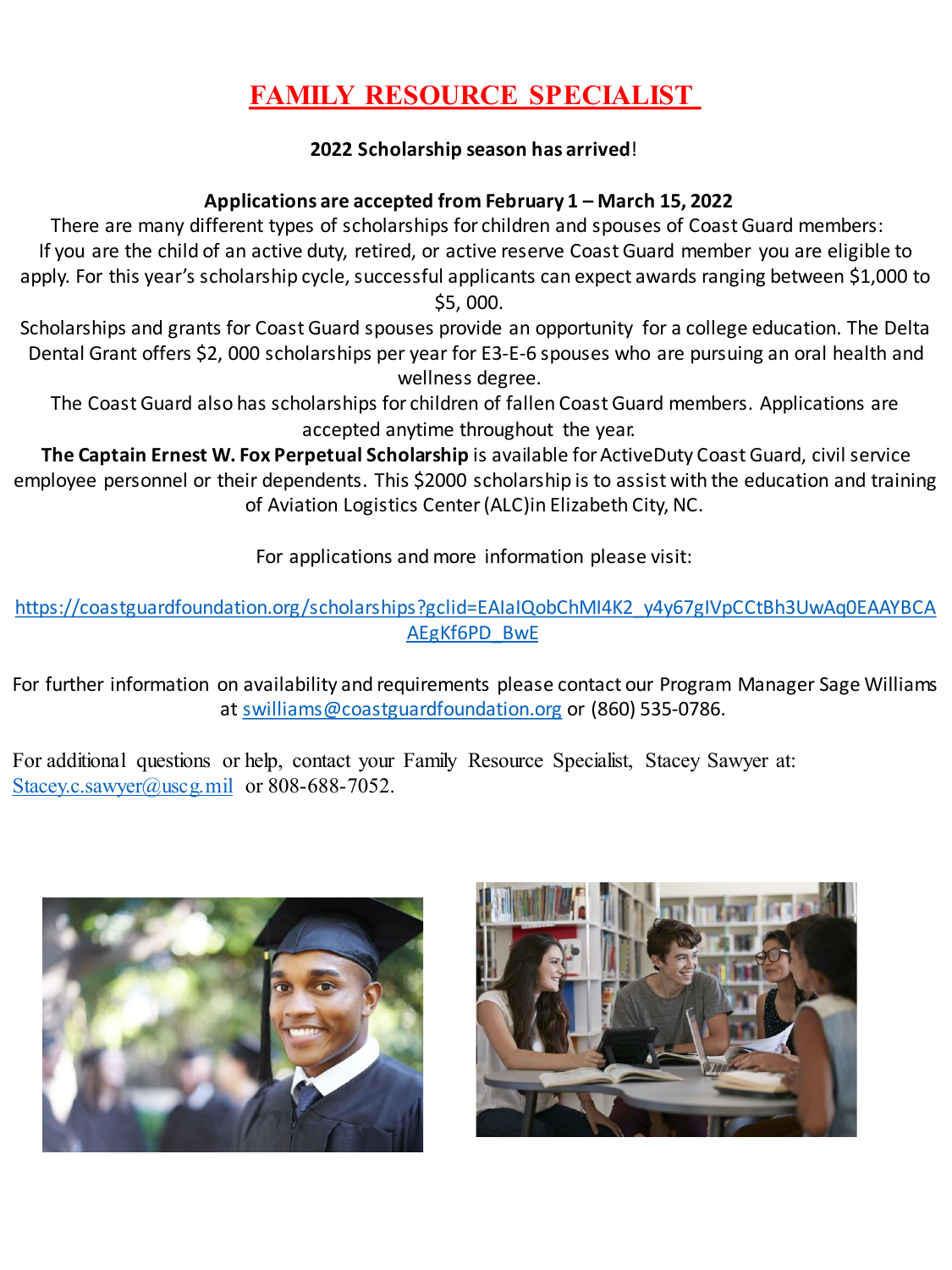## **FAMILY RESOURCE SPECIALIST**

#### **2022 Scholarship season has arrived**!

#### **Applications are accepted from February 1 – March 15, 2022**

There are many different types of scholarships for children and spouses of Coast Guard members: If you are the child of an active duty, retired, or active reserve Coast Guard member you are eligible to apply. For this year's scholarship cycle, successful applicants can expect awards ranging between \$1,000 to \$5, 000.

Scholarships and grants for Coast Guard spouses provide an opportunity for a college education. The Delta Dental Grant offers \$2, 000 scholarships per year for E3-E-6 spouses who are pursuing an oral health and wellness degree.

The Coast Guard also has scholarships for children of fallen Coast Guard members. Applications are accepted anytime throughout the year.

**The Captain Ernest W. Fox Perpetual Scholarship** is available for ActiveDuty Coast Guard, civil service employee personnel or their dependents. This \$2000 scholarship is to assist with the education and training of Aviation Logistics Center (ALC)in Elizabeth City, NC.

For applications and more information please visit:

[https://coastguardfoundation.org/scholarships?gclid=EAIaIQobChMI4K2\\_y4y67gIVpCCtBh3UwAq0EAAYBCA](https://coastguardfoundation.org/scholarships?gclid=EAIaIQobChMI4K2_y4y67gIVpCCtBh3UwAq0EAAYBCAAEgKf6PD_BwE) AEgKf6PD\_BwE

For further information on availability and requirements please contact our Program Manager Sage Williams at [swilliams@coastguardfoundation.org](mailto:swilliams@coastguardfoundation.org) or (860) 535-0786.

For additional questions or help, contact your Family Resource Specialist, Stacey Sawyer at: [Stacey.c.sawyer@uscg.mil](mailto:Stacey.c.sawyer@uscg.mil) or 808-688-7052.



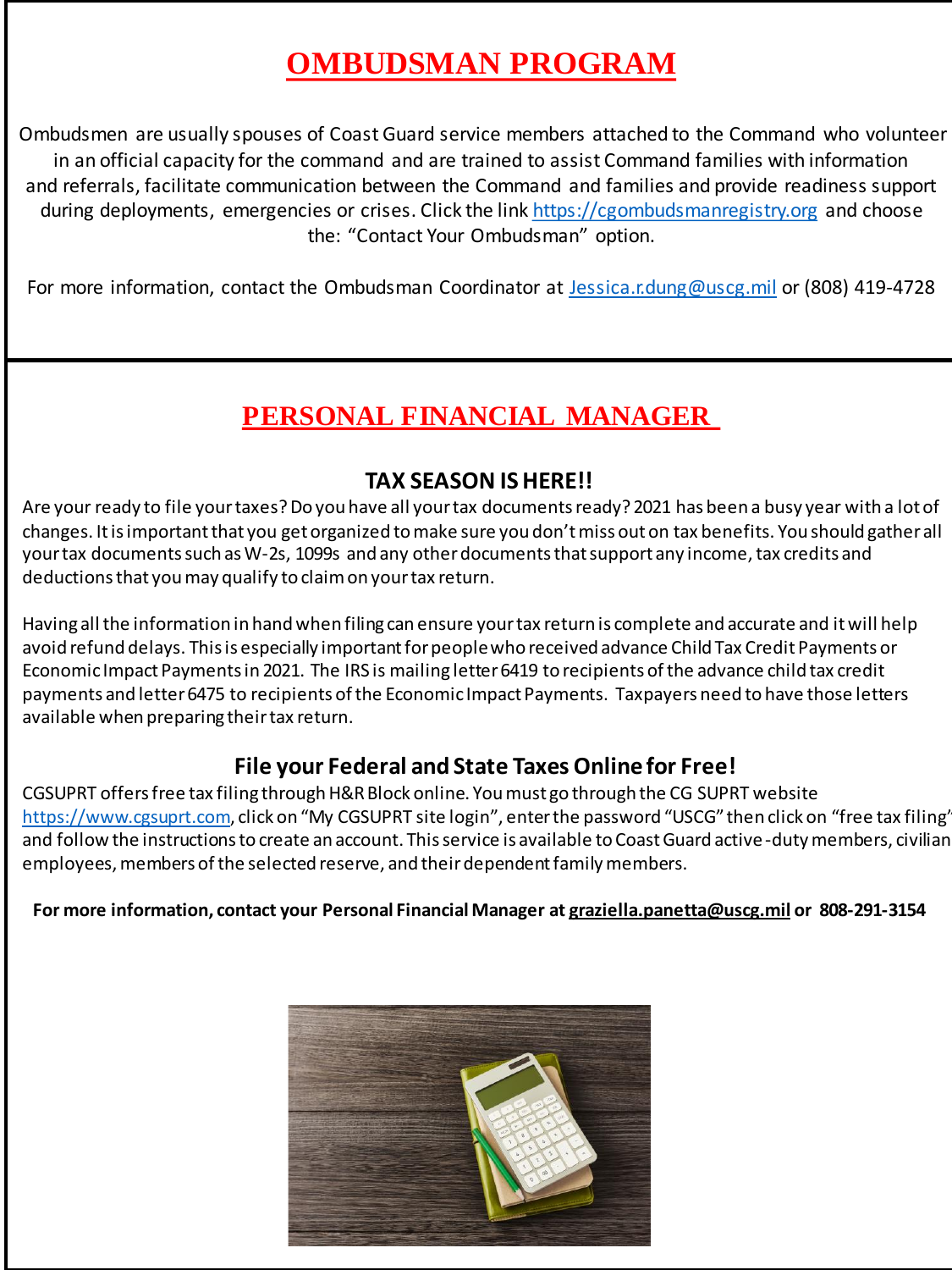## **OMBUDSMAN PROGRAM**

Ombudsmen are usually spouses of Coast Guard service members attached to the Command who volunteer in an official capacity for the command and are trained to assist Command families with information and referrals, facilitate communication between the Command and families and provide readiness support during deployments, emergencies or crises. Click the link [https://cgombudsmanregistry.org](https://cgombudsmanregistry.org/) and choose the: "Contact Your Ombudsman" option.

For more information, contact the Ombudsman Coordinator at [Jessica.r.dung@uscg.mil](mailto:jessica.r.dung@uscg.mil) or (808) 419-4728

## **PERSONAL FINANCIAL MANAGER**

#### **TAX SEASON IS HERE!!**

Are your ready to file your taxes? Do you have all your tax documents ready? 2021 has been a busy year with a lot of changes. It is important that you get organized to make sure you don't miss out on tax benefits. You should gather all your tax documents such as W-2s, 1099s and any other documents that support any income, tax credits and deductions that you may qualify to claim on your tax return.

Having all the information in hand when filing can ensure your tax return is complete and accurate and it will help avoid refund delays. This is especially important for people who received advance Child Tax Credit Payments or Economic Impact Payments in 2021. The IRS is mailing letter 6419 to recipients of the advance child tax credit payments and letter 6475 to recipients of the Economic Impact Payments. Taxpayers need to have those letters available when preparing their tax return.

#### **File your Federal and State Taxes Online for Free!**

CGSUPRT offers free tax filing through H&R Block online. You must go through the CG SUPRT website [https://www.cgsuprt.com](https://www.cgsuprt.com/), click on "My CGSUPRT site login", enter the password "USCG" then click on "free tax filing" and follow the instructions to create an account. This service is available to Coast Guard active-duty members, civilian employees, members of the selected reserve, and their dependent family members.

#### **For more information, contact your Personal Financial Manager at [graziella.panetta@uscg.mil](mailto:graziella.panetta@uscg.mil) or 808-291-3154**